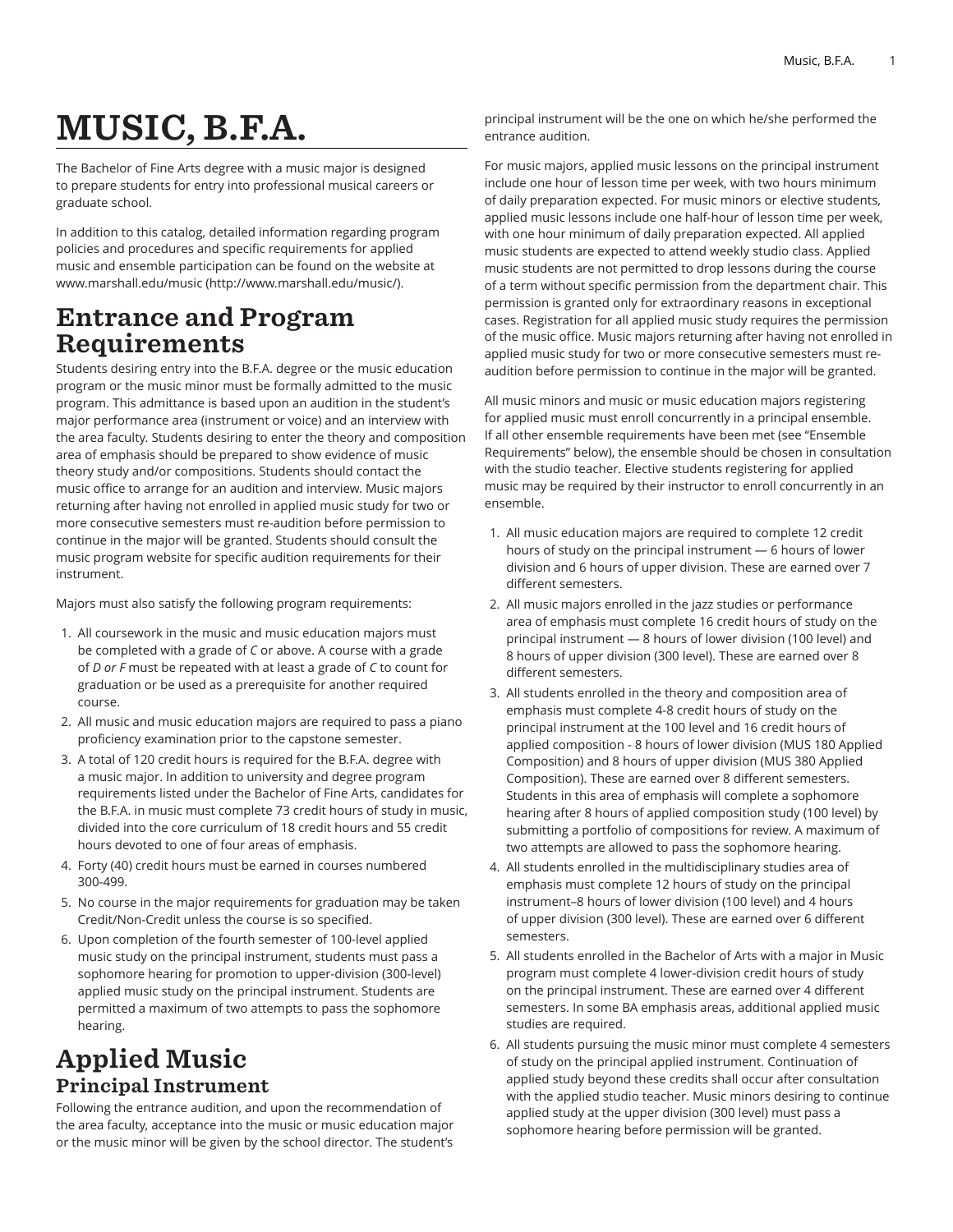# MUSIC, B.F.A.

The Bachelor of Fine Arts degree with a music major is designed to prepare students for entry into professional musical careers or graduate school.

In addition to this catalog, detailed information regarding program policies and procedures and specific requirements for applied music and ensemble participation can be found on the website at [www.marshall.edu/music](http://www.marshall.edu/music/) (<http://www.marshall.edu/music/>).

### Entrance and Program Requirements

Students desiring entry into the B.F.A. degree or the music education program or the music minor must be formally admitted to the music program. This admittance is based upon an audition in the student's major performance area (instrument or voice) and an interview with the area faculty. Students desiring to enter the theory and composition area of emphasis should be prepared to show evidence of music theory study and/or compositions. Students should contact the music office to arrange for an audition and interview. Music majors returning after having not enrolled in applied music study for two or more consecutive semesters must re-audition before permission to continue in the major will be granted. Students should consult the music program website for specific audition requirements for their instrument.

Majors must also satisfy the following program requirements:

- 1. All coursework in the music and music education majors must be completed with a grade of *C* or above. A course with a grade of *D or F* must be repeated with at least a grade of *C* to count for graduation or be used as a prerequisite for another required course.
- 2. All music and music education majors are required to pass a piano proficiency examination prior to the capstone semester.
- 3. A total of 120 credit hours is required for the B.F.A. degree with a music major. In addition to university and degree program requirements listed under the Bachelor of Fine Arts, candidates for the B.F.A. in music must complete 73 credit hours of study in music, divided into the core curriculum of 18 credit hours and 55 credit hours devoted to one of four areas of emphasis.
- 4. Forty (40) credit hours must be earned in courses numbered 300-499.
- 5. No course in the major requirements for graduation may be taken Credit/Non-Credit unless the course is so specified.
- 6. Upon completion of the fourth semester of 100-level applied music study on the principal instrument, students must pass a sophomore hearing for promotion to upper-division (300-level) applied music study on the principal instrument. Students are permitted a maximum of two attempts to pass the sophomore hearing.

## Applied Music Principal Instrument

Following the entrance audition, and upon the recommendation of the area faculty, acceptance into the music or music education major or the music minor will be given by the school director. The student's

principal instrument will be the one on which he/she performed the entrance audition.

For music majors, applied music lessons on the principal instrument include one hour of lesson time per week, with two hours minimum of daily preparation expected. For music minors or elective students, applied music lessons include one half-hour of lesson time per week, with one hour minimum of daily preparation expected. All applied music students are expected to attend weekly studio class. Applied music students are not permitted to drop lessons during the course of a term without specific permission from the department chair. This permission is granted only for extraordinary reasons in exceptional cases. Registration for all applied music study requires the permission of the music office. Music majors returning after having not enrolled in applied music study for two or more consecutive semesters must reaudition before permission to continue in the major will be granted.

All music minors and music or music education majors registering for applied music must enroll concurrently in a principal ensemble. If all other ensemble requirements have been met (see "Ensemble Requirements" below), the ensemble should be chosen in consultation with the studio teacher. Elective students registering for applied music may be required by their instructor to enroll concurrently in an ensemble.

- 1. All music education majors are required to complete 12 credit hours of study on the principal instrument — 6 hours of lower division and 6 hours of upper division. These are earned over 7 different semesters.
- 2. All music majors enrolled in the jazz studies or performance area of emphasis must complete 16 credit hours of study on the principal instrument — 8 hours of lower division (100 level) and 8 hours of upper division (300 level). These are earned over 8 different semesters.
- 3. All students enrolled in the theory and composition area of emphasis must complete 4-8 credit hours of study on the principal instrument at the 100 level and 16 credit hours of applied composition - 8 hours of lower division (MUS 180 Applied Composition) and 8 hours of upper division (MUS 380 Applied Composition). These are earned over 8 different semesters. Students in this area of emphasis will complete a sophomore hearing after 8 hours of applied composition study (100 level) by submitting a portfolio of compositions for review. A maximum of two attempts are allowed to pass the sophomore hearing.
- 4. All students enrolled in the multidisciplinary studies area of emphasis must complete 12 hours of study on the principal instrument–8 hours of lower division (100 level) and 4 hours of upper division (300 level). These are earned over 6 different semesters.
- 5. All students enrolled in the Bachelor of Arts with a major in Music program must complete 4 lower-division credit hours of study on the principal instrument. These are earned over 4 different semesters. In some BA emphasis areas, additional applied music studies are required.
- 6. All students pursuing the music minor must complete 4 semesters of study on the principal applied instrument. Continuation of applied study beyond these credits shall occur after consultation with the applied studio teacher. Music minors desiring to continue applied study at the upper division (300 level) must pass a sophomore hearing before permission will be granted.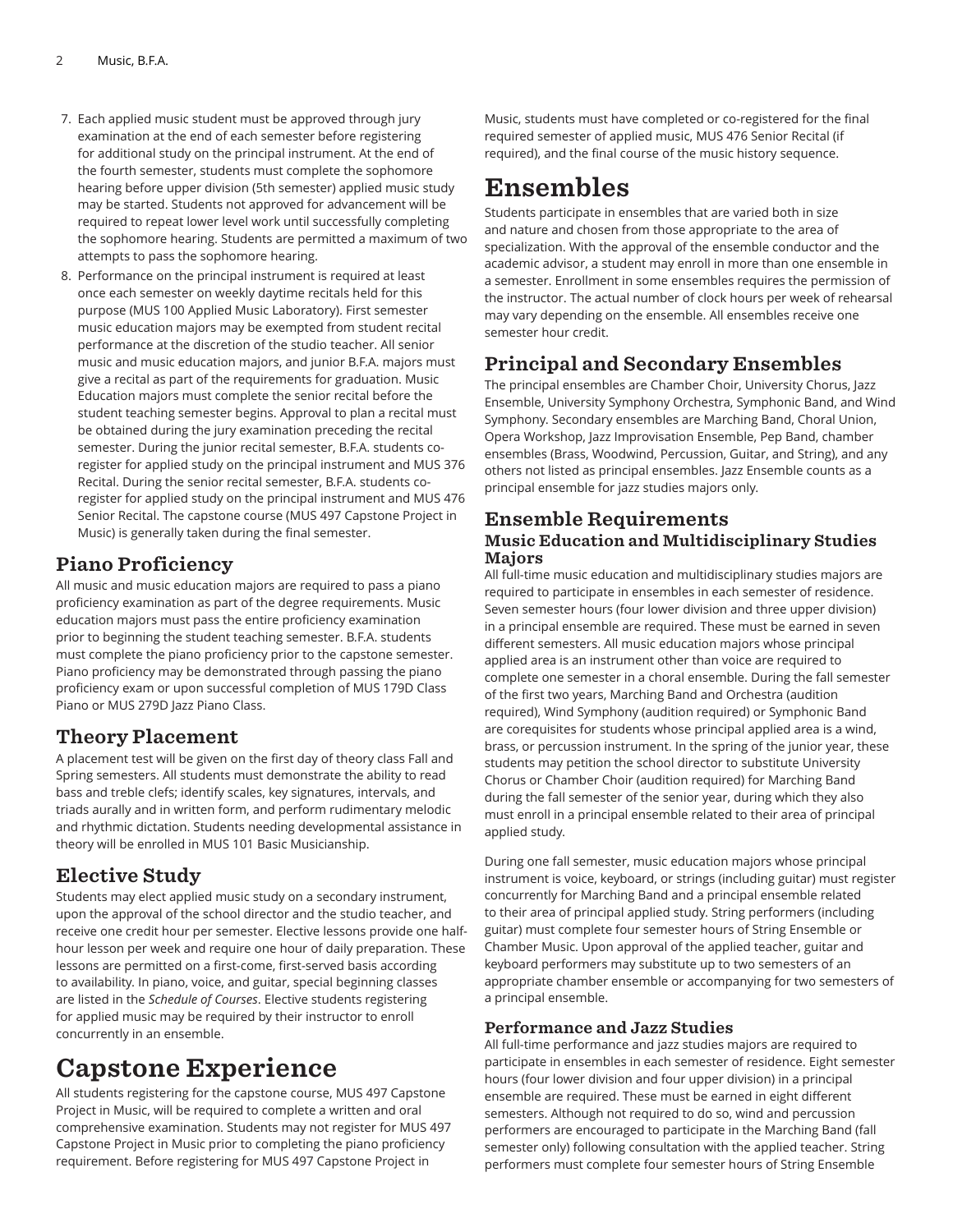- 7. Each applied music student must be approved through jury examination at the end of each semester before registering for additional study on the principal instrument. At the end of the fourth semester, students must complete the sophomore hearing before upper division (5th semester) applied music study may be started. Students not approved for advancement will be required to repeat lower level work until successfully completing the sophomore hearing. Students are permitted a maximum of two attempts to pass the sophomore hearing.
- 8. Performance on the principal instrument is required at least once each semester on weekly daytime recitals held for this purpose (MUS 100 Applied Music Laboratory). First semester music education majors may be exempted from student recital performance at the discretion of the studio teacher. All senior music and music education majors, and junior B.F.A. majors must give a recital as part of the requirements for graduation. Music Education majors must complete the senior recital before the student teaching semester begins. Approval to plan a recital must be obtained during the jury examination preceding the recital semester. During the junior recital semester, B.F.A. students coregister for applied study on the principal instrument and MUS 376 Recital. During the senior recital semester, B.F.A. students coregister for applied study on the principal instrument and MUS 476 Senior Recital. The capstone course (MUS 497 Capstone Project in Music) is generally taken during the final semester.

### Piano Proficiency

All music and music education majors are required to pass a piano proficiency examination as part of the degree requirements. Music education majors must pass the entire proficiency examination prior to beginning the student teaching semester. B.F.A. students must complete the piano proficiency prior to the capstone semester. Piano proficiency may be demonstrated through passing the piano proficiency exam or upon successful completion of MUS 179D Class Piano or MUS 279D Jazz Piano Class.

### Theory Placement

A placement test will be given on the first day of theory class Fall and Spring semesters. All students must demonstrate the ability to read bass and treble clefs; identify scales, key signatures, intervals, and triads aurally and in written form, and perform rudimentary melodic and rhythmic dictation. Students needing developmental assistance in theory will be enrolled in MUS 101 Basic Musicianship.

### Elective Study

Students may elect applied music study on a secondary instrument, upon the approval of the school director and the studio teacher, and receive one credit hour per semester. Elective lessons provide one halfhour lesson per week and require one hour of daily preparation. These lessons are permitted on a first-come, first-served basis according to availability. In piano, voice, and guitar, special beginning classes are listed in the *Schedule of Courses*. Elective students registering for applied music may be required by their instructor to enroll concurrently in an ensemble.

# Capstone Experience

All students registering for the capstone course, MUS 497 Capstone Project in Music, will be required to complete a written and oral comprehensive examination. Students may not register for MUS 497 Capstone Project in Music prior to completing the piano proficiency requirement. Before registering for MUS 497 Capstone Project in

Music, students must have completed or co-registered for the final required semester of applied music, MUS 476 Senior Recital (if required), and the final course of the music history sequence.

# Ensembles

Students participate in ensembles that are varied both in size and nature and chosen from those appropriate to the area of specialization. With the approval of the ensemble conductor and the academic advisor, a student may enroll in more than one ensemble in a semester. Enrollment in some ensembles requires the permission of the instructor. The actual number of clock hours per week of rehearsal may vary depending on the ensemble. All ensembles receive one semester hour credit.

### Principal and Secondary Ensembles

The principal ensembles are Chamber Choir, University Chorus, Jazz Ensemble, University Symphony Orchestra, Symphonic Band, and Wind Symphony. Secondary ensembles are Marching Band, Choral Union, Opera Workshop, Jazz Improvisation Ensemble, Pep Band, chamber ensembles (Brass, Woodwind, Percussion, Guitar, and String), and any others not listed as principal ensembles. Jazz Ensemble counts as a principal ensemble for jazz studies majors only.

#### Ensemble Requirements Music Education and Multidisciplinary Studies Majors

All full-time music education and multidisciplinary studies majors are required to participate in ensembles in each semester of residence. Seven semester hours (four lower division and three upper division) in a principal ensemble are required. These must be earned in seven different semesters. All music education majors whose principal applied area is an instrument other than voice are required to complete one semester in a choral ensemble. During the fall semester of the first two years, Marching Band and Orchestra (audition required), Wind Symphony (audition required) or Symphonic Band are corequisites for students whose principal applied area is a wind, brass, or percussion instrument. In the spring of the junior year, these students may petition the school director to substitute University Chorus or Chamber Choir (audition required) for Marching Band during the fall semester of the senior year, during which they also must enroll in a principal ensemble related to their area of principal applied study.

During one fall semester, music education majors whose principal instrument is voice, keyboard, or strings (including guitar) must register concurrently for Marching Band and a principal ensemble related to their area of principal applied study. String performers (including guitar) must complete four semester hours of String Ensemble or Chamber Music. Upon approval of the applied teacher, guitar and keyboard performers may substitute up to two semesters of an appropriate chamber ensemble or accompanying for two semesters of a principal ensemble.

#### Performance and Jazz Studies

All full-time performance and jazz studies majors are required to participate in ensembles in each semester of residence. Eight semester hours (four lower division and four upper division) in a principal ensemble are required. These must be earned in eight different semesters. Although not required to do so, wind and percussion performers are encouraged to participate in the Marching Band (fall semester only) following consultation with the applied teacher. String performers must complete four semester hours of String Ensemble